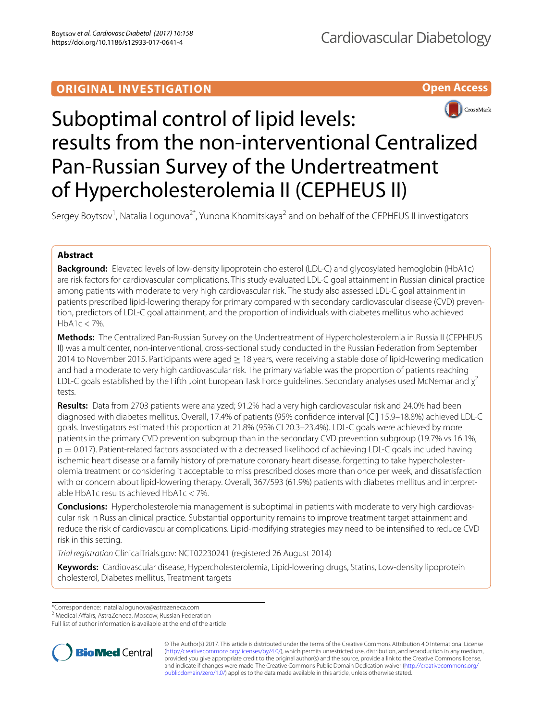# **ORIGINAL INVESTIGATION**





# Suboptimal control of lipid levels: results from the non-interventional Centralized Pan-Russian Survey of the Undertreatment of Hypercholesterolemia II (CEPHEUS II)

Sergey Boytsov<sup>1</sup>, Natalia Logunova<sup>2\*</sup>, Yunona Khomitskaya<sup>2</sup> and on behalf of the CEPHEUS II investigators

# **Abstract**

**Background:** Elevated levels of low-density lipoprotein cholesterol (LDL-C) and glycosylated hemoglobin (HbA1c) are risk factors for cardiovascular complications. This study evaluated LDL-C goal attainment in Russian clinical practice among patients with moderate to very high cardiovascular risk. The study also assessed LDL-C goal attainment in patients prescribed lipid-lowering therapy for primary compared with secondary cardiovascular disease (CVD) prevention, predictors of LDL-C goal attainment, and the proportion of individuals with diabetes mellitus who achieved HbA1c  $<$  7%.

**Methods:** The Centralized Pan-Russian Survey on the Undertreatment of Hypercholesterolemia in Russia II (CEPHEUS II) was a multicenter, non-interventional, cross-sectional study conducted in the Russian Federation from September 2014 to November 2015. Participants were aged ≥ 18 years, were receiving a stable dose of lipid-lowering medication and had a moderate to very high cardiovascular risk. The primary variable was the proportion of patients reaching LDL-C goals established by the Fifth Joint European Task Force guidelines. Secondary analyses used McNemar and  $\chi^2$ tests.

**Results:** Data from 2703 patients were analyzed; 91.2% had a very high cardiovascular risk and 24.0% had been diagnosed with diabetes mellitus. Overall, 17.4% of patients (95% confdence interval [CI] 15.9–18.8%) achieved LDL-C goals. Investigators estimated this proportion at 21.8% (95% CI 20.3–23.4%). LDL-C goals were achieved by more patients in the primary CVD prevention subgroup than in the secondary CVD prevention subgroup (19.7% vs 16.1%, p = 0.017). Patient-related factors associated with a decreased likelihood of achieving LDL-C goals included having ischemic heart disease or a family history of premature coronary heart disease, forgetting to take hypercholesterolemia treatment or considering it acceptable to miss prescribed doses more than once per week, and dissatisfaction with or concern about lipid-lowering therapy. Overall, 367/593 (61.9%) patients with diabetes mellitus and interpretable HbA1c results achieved HbA1c < 7%.

**Conclusions:** Hypercholesterolemia management is suboptimal in patients with moderate to very high cardiovascular risk in Russian clinical practice. Substantial opportunity remains to improve treatment target attainment and reduce the risk of cardiovascular complications. Lipid-modifying strategies may need to be intensifed to reduce CVD risk in this setting.

*Trial registration* ClinicalTrials.gov: NCT02230241 (registered 26 August 2014)

**Keywords:** Cardiovascular disease, Hypercholesterolemia, Lipid-lowering drugs, Statins, Low-density lipoprotein cholesterol, Diabetes mellitus, Treatment targets

\*Correspondence: natalia.logunova@astrazeneca.com

<sup>2</sup> Medical Affairs, AstraZeneca, Moscow, Russian Federation

Full list of author information is available at the end of the article



© The Author(s) 2017. This article is distributed under the terms of the Creative Commons Attribution 4.0 International License [\(http://creativecommons.org/licenses/by/4.0/\)](http://creativecommons.org/licenses/by/4.0/), which permits unrestricted use, distribution, and reproduction in any medium, provided you give appropriate credit to the original author(s) and the source, provide a link to the Creative Commons license, and indicate if changes were made. The Creative Commons Public Domain Dedication waiver ([http://creativecommons.org/](http://creativecommons.org/publicdomain/zero/1.0/) [publicdomain/zero/1.0/](http://creativecommons.org/publicdomain/zero/1.0/)) applies to the data made available in this article, unless otherwise stated.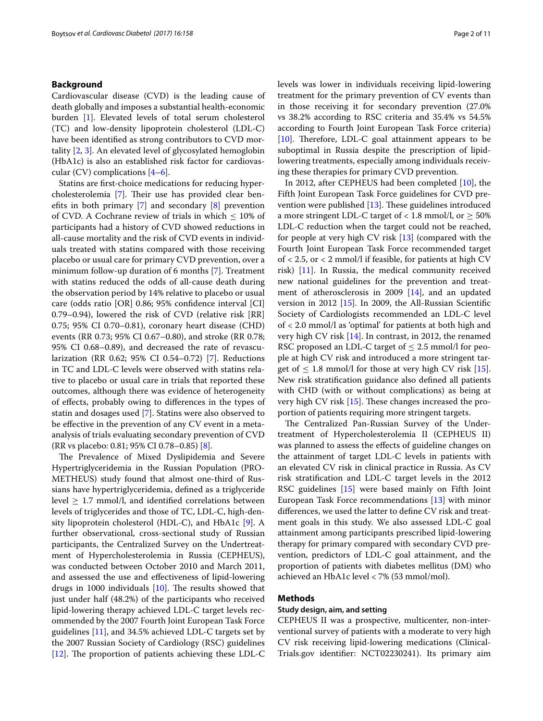# **Background**

Cardiovascular disease (CVD) is the leading cause of death globally and imposes a substantial health-economic burden [\[1](#page-9-0)]. Elevated levels of total serum cholesterol (TC) and low-density lipoprotein cholesterol (LDL-C) have been identifed as strong contributors to CVD mortality [\[2](#page-9-1), [3\]](#page-9-2). An elevated level of glycosylated hemoglobin (HbA1c) is also an established risk factor for cardiovascular (CV) complications [\[4](#page-9-3)[–6](#page-9-4)].

Statins are frst-choice medications for reducing hyper-cholesterolemia [\[7\]](#page-9-5). Their use has provided clear benefts in both primary [\[7](#page-9-5)] and secondary [[8\]](#page-9-6) prevention of CVD. A Cochrane review of trials in which  $\leq 10\%$  of participants had a history of CVD showed reductions in all-cause mortality and the risk of CVD events in individuals treated with statins compared with those receiving placebo or usual care for primary CVD prevention, over a minimum follow-up duration of 6 months [[7\]](#page-9-5). Treatment with statins reduced the odds of all-cause death during the observation period by 14% relative to placebo or usual care (odds ratio [OR] 0.86; 95% confdence interval [CI] 0.79–0.94), lowered the risk of CVD (relative risk [RR] 0.75; 95% CI 0.70–0.81), coronary heart disease (CHD) events (RR 0.73; 95% CI 0.67–0.80), and stroke (RR 0.78; 95% CI 0.68–0.89), and decreased the rate of revascularization (RR 0.62; 95% CI 0.54–0.72) [[7\]](#page-9-5). Reductions in TC and LDL-C levels were observed with statins relative to placebo or usual care in trials that reported these outcomes, although there was evidence of heterogeneity of efects, probably owing to diferences in the types of statin and dosages used [[7\]](#page-9-5). Statins were also observed to be effective in the prevention of any CV event in a metaanalysis of trials evaluating secondary prevention of CVD (RR vs placebo: 0.81; 95% CI 0.78–0.85) [[8\]](#page-9-6).

The Prevalence of Mixed Dyslipidemia and Severe Hypertriglyceridemia in the Russian Population (PRO-METHEUS) study found that almost one-third of Russians have hypertriglyceridemia, defned as a triglyceride level  $\geq$  1.7 mmol/l, and identified correlations between levels of triglycerides and those of TC, LDL-C, high-density lipoprotein cholesterol (HDL-C), and HbA1c [[9\]](#page-9-7). A further observational, cross-sectional study of Russian participants, the Centralized Survey on the Undertreatment of Hypercholesterolemia in Russia (CEPHEUS), was conducted between October 2010 and March 2011, and assessed the use and efectiveness of lipid-lowering drugs in [10](#page-9-8)00 individuals  $[10]$ . The results showed that just under half (48.2%) of the participants who received lipid-lowering therapy achieved LDL-C target levels recommended by the 2007 Fourth Joint European Task Force guidelines [[11\]](#page-9-9), and 34.5% achieved LDL-C targets set by the 2007 Russian Society of Cardiology (RSC) guidelines [[12\]](#page-10-0). The proportion of patients achieving these LDL-C levels was lower in individuals receiving lipid-lowering treatment for the primary prevention of CV events than in those receiving it for secondary prevention (27.0% vs 38.2% according to RSC criteria and 35.4% vs 54.5% according to Fourth Joint European Task Force criteria) [[10\]](#page-9-8). Therefore, LDL-C goal attainment appears to be suboptimal in Russia despite the prescription of lipidlowering treatments, especially among individuals receiving these therapies for primary CVD prevention.

In 2012, after CEPHEUS had been completed [\[10](#page-9-8)], the Fifth Joint European Task Force guidelines for CVD pre-vention were published [[13\]](#page-10-1). These guidelines introduced a more stringent LDL-C target of  $< 1.8$  mmol/l, or  $> 50\%$ LDL-C reduction when the target could not be reached, for people at very high CV risk [\[13\]](#page-10-1) (compared with the Fourth Joint European Task Force recommended target of < 2.5, or < 2 mmol/l if feasible, for patients at high CV risk) [\[11\]](#page-9-9). In Russia, the medical community received new national guidelines for the prevention and treatment of atherosclerosis in 2009 [\[14\]](#page-10-2), and an updated version in 2012 [\[15](#page-10-3)]. In 2009, the All-Russian Scientifc Society of Cardiologists recommended an LDL-C level of < 2.0 mmol/l as 'optimal' for patients at both high and very high CV risk [\[14](#page-10-2)]. In contrast, in 2012, the renamed RSC proposed an LDL-C target of  $\leq 2.5$  mmol/l for people at high CV risk and introduced a more stringent target of  $\leq 1.8$  mmol/l for those at very high CV risk [\[15](#page-10-3)]. New risk stratifcation guidance also defned all patients with CHD (with or without complications) as being at very high CV risk  $[15]$  $[15]$  $[15]$ . These changes increased the proportion of patients requiring more stringent targets.

The Centralized Pan-Russian Survey of the Undertreatment of Hypercholesterolemia II (CEPHEUS II) was planned to assess the efects of guideline changes on the attainment of target LDL-C levels in patients with an elevated CV risk in clinical practice in Russia. As CV risk stratifcation and LDL-C target levels in the 2012 RSC guidelines [[15\]](#page-10-3) were based mainly on Fifth Joint European Task Force recommendations [[13\]](#page-10-1) with minor diferences, we used the latter to defne CV risk and treatment goals in this study. We also assessed LDL-C goal attainment among participants prescribed lipid-lowering therapy for primary compared with secondary CVD prevention, predictors of LDL-C goal attainment, and the proportion of patients with diabetes mellitus (DM) who achieved an HbA1c level < 7% (53 mmol/mol).

# **Methods**

# **Study design, aim, and setting**

CEPHEUS II was a prospective, multicenter, non-interventional survey of patients with a moderate to very high CV risk receiving lipid-lowering medications (Clinical-Trials.gov identifer: NCT02230241). Its primary aim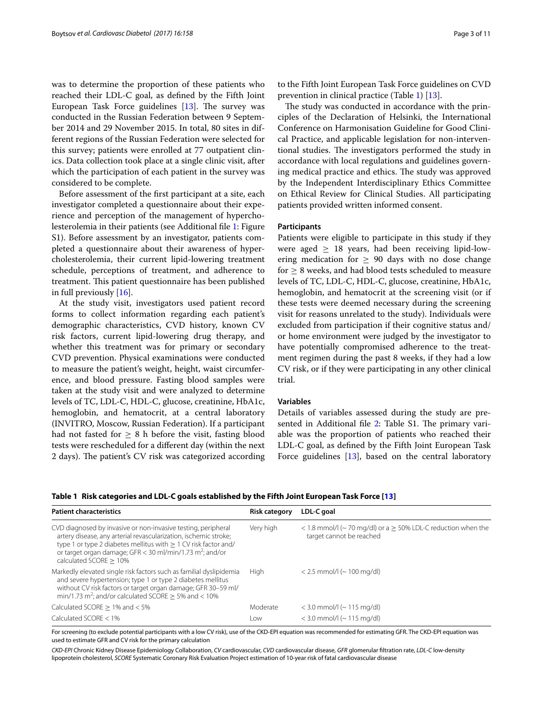was to determine the proportion of these patients who reached their LDL-C goal, as defned by the Fifth Joint European Task Force guidelines  $[13]$  $[13]$ . The survey was conducted in the Russian Federation between 9 September 2014 and 29 November 2015. In total, 80 sites in different regions of the Russian Federation were selected for this survey; patients were enrolled at 77 outpatient clinics. Data collection took place at a single clinic visit, after which the participation of each patient in the survey was considered to be complete.

Before assessment of the frst participant at a site, each investigator completed a questionnaire about their experience and perception of the management of hypercholesterolemia in their patients (see Additional fle [1](#page-8-0): Figure S1). Before assessment by an investigator, patients completed a questionnaire about their awareness of hypercholesterolemia, their current lipid-lowering treatment schedule, perceptions of treatment, and adherence to treatment. This patient questionnaire has been published in full previously [[16](#page-10-4)].

At the study visit, investigators used patient record forms to collect information regarding each patient's demographic characteristics, CVD history, known CV risk factors, current lipid-lowering drug therapy, and whether this treatment was for primary or secondary CVD prevention. Physical examinations were conducted to measure the patient's weight, height, waist circumference, and blood pressure. Fasting blood samples were taken at the study visit and were analyzed to determine levels of TC, LDL-C, HDL-C, glucose, creatinine, HbA1c, hemoglobin, and hematocrit, at a central laboratory (INVITRO, Moscow, Russian Federation). If a participant had not fasted for  $> 8$  h before the visit, fasting blood tests were rescheduled for a diferent day (within the next 2 days). The patient's CV risk was categorized according to the Fifth Joint European Task Force guidelines on CVD prevention in clinical practice (Table [1](#page-2-0)) [[13\]](#page-10-1).

The study was conducted in accordance with the principles of the Declaration of Helsinki, the International Conference on Harmonisation Guideline for Good Clinical Practice, and applicable legislation for non-interventional studies. The investigators performed the study in accordance with local regulations and guidelines governing medical practice and ethics. The study was approved by the Independent Interdisciplinary Ethics Committee on Ethical Review for Clinical Studies. All participating patients provided written informed consent.

# **Participants**

Patients were eligible to participate in this study if they were aged  $\geq$  18 years, had been receiving lipid-lowering medication for  $\geq$  90 days with no dose change for  $\geq$  8 weeks, and had blood tests scheduled to measure levels of TC, LDL-C, HDL-C, glucose, creatinine, HbA1c, hemoglobin, and hematocrit at the screening visit (or if these tests were deemed necessary during the screening visit for reasons unrelated to the study). Individuals were excluded from participation if their cognitive status and/ or home environment were judged by the investigator to have potentially compromised adherence to the treatment regimen during the past 8 weeks, if they had a low CV risk, or if they were participating in any other clinical trial.

# **Variables**

Details of variables assessed during the study are pre-sented in Additional file [2:](#page-8-1) Table S1. The primary variable was the proportion of patients who reached their LDL-C goal, as defned by the Fifth Joint European Task Force guidelines  $[13]$  $[13]$ , based on the central laboratory

<span id="page-2-0"></span>

| Table 1 Risk categories and LDL-C goals established by the Fifth Joint European Task Force [13] |
|-------------------------------------------------------------------------------------------------|
|-------------------------------------------------------------------------------------------------|

| <b>Patient characteristics</b>                                                                                                                                                                                                                                                                                 | <b>Risk category</b> | LDL-C goal                                                                                           |
|----------------------------------------------------------------------------------------------------------------------------------------------------------------------------------------------------------------------------------------------------------------------------------------------------------------|----------------------|------------------------------------------------------------------------------------------------------|
| CVD diagnosed by invasive or non-invasive testing, peripheral<br>artery disease, any arterial revascularization, ischemic stroke;<br>type 1 or type 2 diabetes mellitus with $\geq$ 1 CV risk factor and/<br>or target organ damage; GFR < 30 ml/min/1.73 m <sup>2</sup> ; and/or<br>calculated SCORE $> 10\%$ | Very high            | < 1.8 mmol/l ( $\sim$ 70 mg/dl) or a $\geq$ 50% LDL-C reduction when the<br>target cannot be reached |
| Markedly elevated single risk factors such as familial dyslipidemia<br>and severe hypertension; type 1 or type 2 diabetes mellitus<br>without CV risk factors or target organ damage; GFR 30-59 ml/<br>min/1.73 m <sup>2</sup> ; and/or calculated SCORE $>$ 5% and < 10%                                      | High                 | $<$ 2.5 mmol/l ( $\sim$ 100 mg/dl)                                                                   |
| Calculated SCORE $> 1\%$ and $< 5\%$                                                                                                                                                                                                                                                                           | Moderate             | $<$ 3.0 mmol/l ( $\sim$ 115 mg/dl)                                                                   |
| Calculated SCORF $< 1\%$                                                                                                                                                                                                                                                                                       | Low                  | $<$ 3.0 mmol/l ( $\sim$ 115 mg/dl)                                                                   |

For screening (to exclude potential participants with a low CV risk), use of the CKD-EPI equation was recommended for estimating GFR. The CKD-EPI equation was used to estimate GFR and CV risk for the primary calculation

*CKD*-*EPI* Chronic Kidney Disease Epidemiology Collaboration, *CV* cardiovascular, *CVD* cardiovascular disease, *GFR* glomerular fltration rate, *LDL*-*C* low-density lipoprotein cholesterol, *SCORE* Systematic Coronary Risk Evaluation Project estimation of 10-year risk of fatal cardiovascular disease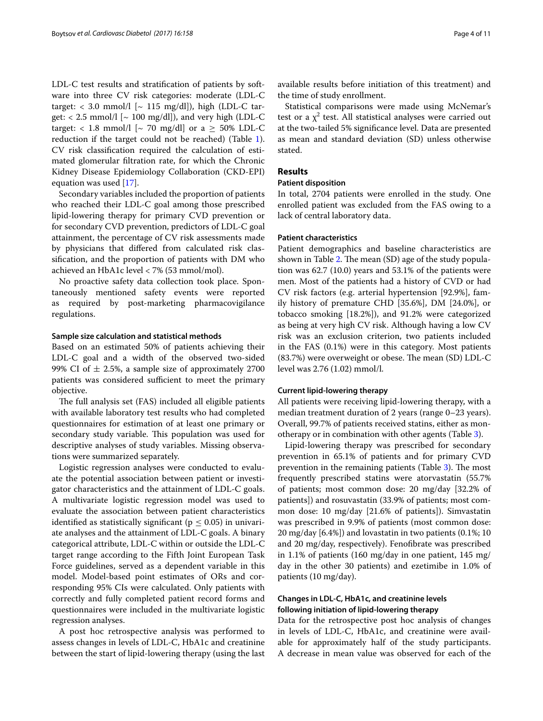LDL-C test results and stratifcation of patients by software into three CV risk categories: moderate (LDL-C target:  $<$  3.0 mmol/l [ $\sim$  115 mg/dl]), high (LDL-C target:  $< 2.5$  mmol/l [ $\sim 100$  mg/dl]), and very high (LDL-C target: < 1.8 mmol/l [ $\sim$  70 mg/dl] or a  $\geq$  50% LDL-C reduction if the target could not be reached) (Table [1](#page-2-0)). CV risk classifcation required the calculation of estimated glomerular fltration rate, for which the Chronic Kidney Disease Epidemiology Collaboration (CKD-EPI) equation was used [\[17](#page-10-5)].

Secondary variables included the proportion of patients who reached their LDL-C goal among those prescribed lipid-lowering therapy for primary CVD prevention or for secondary CVD prevention, predictors of LDL-C goal attainment, the percentage of CV risk assessments made by physicians that difered from calculated risk classifcation, and the proportion of patients with DM who achieved an HbA1c level < 7% (53 mmol/mol).

No proactive safety data collection took place. Spontaneously mentioned safety events were reported as required by post-marketing pharmacovigilance regulations.

### **Sample size calculation and statistical methods**

Based on an estimated 50% of patients achieving their LDL-C goal and a width of the observed two-sided 99% CI of  $\pm$  2.5%, a sample size of approximately 2700 patients was considered sufficient to meet the primary objective.

The full analysis set (FAS) included all eligible patients with available laboratory test results who had completed questionnaires for estimation of at least one primary or secondary study variable. This population was used for descriptive analyses of study variables. Missing observations were summarized separately.

Logistic regression analyses were conducted to evaluate the potential association between patient or investigator characteristics and the attainment of LDL-C goals. A multivariate logistic regression model was used to evaluate the association between patient characteristics identified as statistically significant ( $p \leq 0.05$ ) in univariate analyses and the attainment of LDL-C goals. A binary categorical attribute, LDL-C within or outside the LDL-C target range according to the Fifth Joint European Task Force guidelines, served as a dependent variable in this model. Model-based point estimates of ORs and corresponding 95% CIs were calculated. Only patients with correctly and fully completed patient record forms and questionnaires were included in the multivariate logistic regression analyses.

A post hoc retrospective analysis was performed to assess changes in levels of LDL-C, HbA1c and creatinine between the start of lipid-lowering therapy (using the last available results before initiation of this treatment) and the time of study enrollment.

Statistical comparisons were made using McNemar's test or a  $\chi^2$  test. All statistical analyses were carried out at the two-tailed 5% signifcance level. Data are presented as mean and standard deviation (SD) unless otherwise stated.

# **Results**

# **Patient disposition**

In total, 2704 patients were enrolled in the study. One enrolled patient was excluded from the FAS owing to a lack of central laboratory data.

# **Patient characteristics**

Patient demographics and baseline characteristics are shown in Table [2](#page-4-0). The mean (SD) age of the study population was 62.7 (10.0) years and 53.1% of the patients were men. Most of the patients had a history of CVD or had CV risk factors (e.g. arterial hypertension [92.9%], family history of premature CHD [35.6%], DM [24.0%], or tobacco smoking [18.2%]), and 91.2% were categorized as being at very high CV risk. Although having a low CV risk was an exclusion criterion, two patients included in the FAS (0.1%) were in this category. Most patients  $(83.7%)$  were overweight or obese. The mean  $(SD)$  LDL-C level was 2.76 (1.02) mmol/l.

#### **Current lipid-lowering therapy**

All patients were receiving lipid-lowering therapy, with a median treatment duration of 2 years (range 0–23 years). Overall, 99.7% of patients received statins, either as monotherapy or in combination with other agents (Table [3\)](#page-5-0).

Lipid-lowering therapy was prescribed for secondary prevention in 65.1% of patients and for primary CVD prevention in the remaining patients (Table [3\)](#page-5-0). The most frequently prescribed statins were atorvastatin (55.7% of patients; most common dose: 20 mg/day [32.2% of patients]) and rosuvastatin (33.9% of patients; most common dose: 10 mg/day [21.6% of patients]). Simvastatin was prescribed in 9.9% of patients (most common dose: 20 mg/day [6.4%]) and lovastatin in two patients (0.1%; 10 and 20 mg/day, respectively). Fenofbrate was prescribed in 1.1% of patients (160 mg/day in one patient, 145 mg/ day in the other 30 patients) and ezetimibe in 1.0% of patients (10 mg/day).

# **Changes in LDL-C, HbA1c, and creatinine levels following initiation of lipid-lowering therapy**

Data for the retrospective post hoc analysis of changes in levels of LDL-C, HbA1c, and creatinine were available for approximately half of the study participants. A decrease in mean value was observed for each of the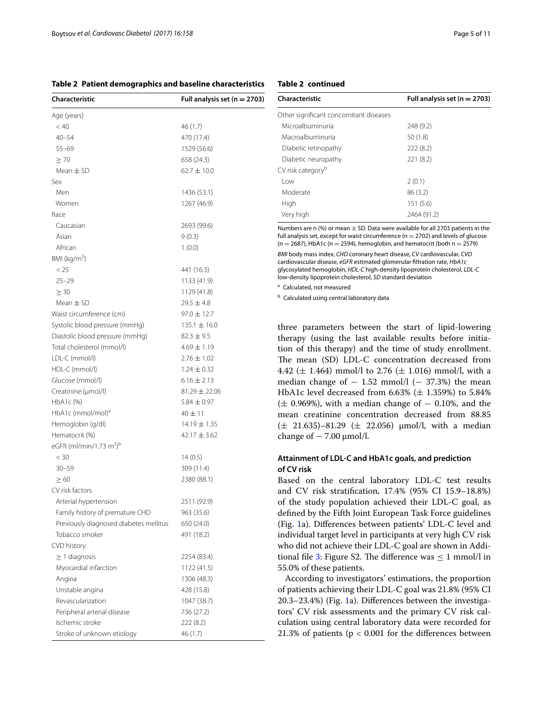<span id="page-4-0"></span>**Table 2 Patient demographics and baseline characteristics**

| Characteristic                                  | Full analysis set (n = 2703) |  |
|-------------------------------------------------|------------------------------|--|
| Age (years)                                     |                              |  |
| < 40                                            | 46 (1.7)                     |  |
| $40 - 54$                                       | 470 (17.4)                   |  |
| $55 - 69$                                       | 1529 (56.6)                  |  |
| $\geq 70$                                       | 658 (24.3)                   |  |
| Mean $\pm$ SD                                   | $62.7 \pm 10.0$              |  |
| Sex                                             |                              |  |
| Men                                             | 1436 (53.1)                  |  |
| Women                                           | 1267 (46.9)                  |  |
| Race                                            |                              |  |
| Caucasian                                       | 2693 (99.6)                  |  |
| Asian                                           | 9(0.3)                       |  |
| African                                         | 1(0.0)                       |  |
| BMI ( $kg/m2$ )                                 |                              |  |
| < 25                                            | 441 (16.3)                   |  |
| $25 - 29$                                       | 1133 (41.9)                  |  |
| $\geq 30$                                       | 1129 (41.8)                  |  |
| Mean $\pm$ SD                                   | $29.5 \pm 4.8$               |  |
| Waist circumference (cm)                        | $97.0 \pm 12.7$              |  |
| Systolic blood pressure (mmHg)                  | $135.1 \pm 16.0$             |  |
| Diastolic blood pressure (mmHg)                 | $82.3 \pm 9.5$               |  |
| Total cholesterol (mmol/l)                      | $4.69 \pm 1.19$              |  |
| LDL-C (mmol/l)                                  | $2.76 \pm 1.02$              |  |
| HDL-C (mmol/l)                                  | $1.24 \pm 0.32$              |  |
| Glucose (mmol/l)                                | $6.16 \pm 2.13$              |  |
| Creatinine (µmol/l)                             | $81.29 \pm 22.06$            |  |
| $HbA1c$ $%$                                     | $5.84 \pm 0.97$              |  |
| HbA1c (mmol/mol) <sup>a</sup>                   | $40 \pm 11$                  |  |
| Hemoglobin (g/dl)                               | $14.19 \pm 1.35$             |  |
| Hematocrit (%)                                  | $42.17 \pm 3.62$             |  |
| eGFR (ml/min/1.73 m <sup>2</sup> ) <sup>b</sup> |                              |  |
| $<$ 30                                          | 14(0.5)                      |  |
| $30 - 59$                                       | 309 (11.4)                   |  |
| $\geq 60$                                       | 2380 (88.1)                  |  |
| CV risk factors                                 |                              |  |
| Arterial hypertension                           | 2511 (92.9)                  |  |
| Family history of premature CHD                 | 963 (35.6)                   |  |
| Previously diagnosed diabetes mellitus          | 650 (24.0)                   |  |
| Tobacco smoker                                  | 491 (18.2)                   |  |
| CVD history                                     |                              |  |
| $\geq$ 1 diagnosis                              | 2254 (83.4)                  |  |
| Myocardial infarction                           | 1122 (41.5)                  |  |
| Angina                                          | 1306 (48.3)                  |  |
| Unstable angina                                 | 428 (15.8)                   |  |
| Revascularization                               | 1047 (38.7)                  |  |
| Peripheral arterial disease                     | 736 (27.2)                   |  |
| Ischemic stroke                                 | 222 (8.2)                    |  |
| Stroke of unknown etiology                      | 46 (1.7)                     |  |

# **Table 2 continued**

| Characteristic                         | Full analysis set $(n = 2703)$ |  |
|----------------------------------------|--------------------------------|--|
| Other significant concomitant diseases |                                |  |
| Microalbuminuria                       | 248 (9.2)                      |  |
| Macroalbuminuria                       | 50(1.8)                        |  |
| Diabetic retinopathy                   | 222(8.2)                       |  |
| Diabetic neuropathy                    | 221 (8.2)                      |  |
| CV risk category <sup>b</sup>          |                                |  |
| l ow                                   | 2(0.1)                         |  |
| Moderate                               | 86(3.2)                        |  |
| High                                   | 151 (5.6)                      |  |
| Very high                              | 2464 (91.2)                    |  |
|                                        |                                |  |

Numbers are n (%) or mean  $\pm$  SD. Data were available for all 2703 patients in the full analysis set, except for waist circumference ( $n = 2702$ ) and levels of glucose  $(n = 2687)$ , HbA1c (n = 2594), hemoglobin, and hematocrit (both n = 2579) *BMI* body mass index, *CHD* coronary heart disease, *CV* cardiovascular, *CVD* cardiovascular disease, *eGFR* estimated glomerular fltration rate, *HbA1c* glycosylated hemoglobin, *HDL*-*C* high-density lipoprotein cholesterol, *LDL*-*C* low-density lipoprotein cholesterol, *SD* standard deviation

a Calculated, not measured

**b** Calculated using central laboratory data

three parameters between the start of lipid-lowering therapy (using the last available results before initiation of this therapy) and the time of study enrollment. The mean (SD) LDL-C concentration decreased from 4.42 ( $\pm$  1.464) mmol/l to 2.76 ( $\pm$  1.016) mmol/l, with a median change of  $-1.52$  mmol/l  $(-37.3%)$  the mean HbA1c level decreased from 6.63% ( $\pm$  1.359%) to 5.84%  $(\pm 0.969\%)$ , with a median change of  $-0.10\%$ , and the mean creatinine concentration decreased from 88.85  $(\pm 21.635) - 81.29 (\pm 22.056)$  µmol/l, with a median change of  $-7.00 \mu$ mol/l.

# **Attainment of LDL-C and HbA1c goals, and prediction of CV risk**

Based on the central laboratory LDL-C test results and CV risk stratifcation, 17.4% (95% CI 15.9–18.8%) of the study population achieved their LDL-C goal, as defned by the Fifth Joint European Task Force guidelines (Fig. [1a](#page-5-1)). Diferences between patients' LDL-C level and individual target level in participants at very high CV risk who did not achieve their LDL-C goal are shown in Addi-tional file [3](#page-8-2): Figure S2. The difference was  $\leq 1$  mmol/l in 55.0% of these patients.

According to investigators' estimations, the proportion of patients achieving their LDL-C goal was 21.8% (95% CI 20.3–23.4%) (Fig. [1a](#page-5-1)). Diferences between the investigators' CV risk assessments and the primary CV risk calculation using central laboratory data were recorded for 21.3% of patients ( $p < 0.001$  for the differences between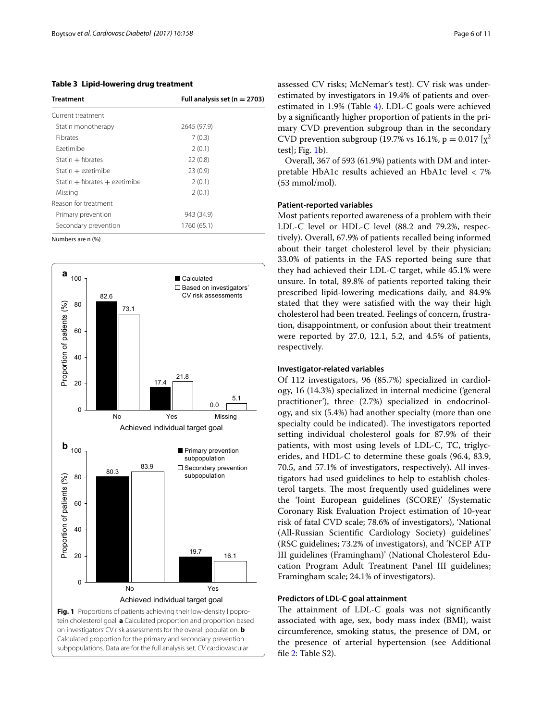# <span id="page-5-0"></span>**Table 3 Lipid-lowering drug treatment**

| Treatment                           | Full analysis set ( $n = 2703$ ) |  |
|-------------------------------------|----------------------------------|--|
| Current treatment                   |                                  |  |
| Statin monotherapy                  | 2645 (97.9)                      |  |
| <b>Fibrates</b>                     | 7(0.3)                           |  |
| <b>Fzetimibe</b>                    | 2(0.1)                           |  |
| Statin $+$ fibrates                 | 22(0.8)                          |  |
| Statin + ezetimibe                  | 23(0.9)                          |  |
| Statin $+$ fibrates $+$ ezetimibe   | 2(0.1)                           |  |
| Missing                             | 2(0.1)                           |  |
| Reason for treatment                |                                  |  |
| Primary prevention                  | 943 (34.9)                       |  |
| Secondary prevention<br>1760 (65.1) |                                  |  |

Numbers are n (%)



assessed CV risks; McNemar's test). CV risk was underestimated by investigators in 19.4% of patients and overestimated in 1.9% (Table [4](#page-6-0)). LDL-C goals were achieved by a signifcantly higher proportion of patients in the primary CVD prevention subgroup than in the secondary CVD prevention subgroup (19.7% vs 16.1%,  $p = 0.017$  [ $\chi^2$ test]; Fig. [1](#page-5-1)b).

Overall, 367 of 593 (61.9%) patients with DM and interpretable HbA1c results achieved an HbA1c level < 7% (53 mmol/mol).

# **Patient-reported variables**

Most patients reported awareness of a problem with their LDL-C level or HDL-C level (88.2 and 79.2%, respectively). Overall, 67.9% of patients recalled being informed about their target cholesterol level by their physician; 33.0% of patients in the FAS reported being sure that they had achieved their LDL-C target, while 45.1% were unsure. In total, 89.8% of patients reported taking their prescribed lipid-lowering medications daily, and 84.9% stated that they were satisfed with the way their high cholesterol had been treated. Feelings of concern, frustration, disappointment, or confusion about their treatment were reported by 27.0, 12.1, 5.2, and 4.5% of patients, respectively.

# **Investigator-related variables**

Of 112 investigators, 96 (85.7%) specialized in cardiology, 16 (14.3%) specialized in internal medicine ('general practitioner'), three (2.7%) specialized in endocrinology, and six (5.4%) had another specialty (more than one specialty could be indicated). The investigators reported setting individual cholesterol goals for 87.9% of their patients, with most using levels of LDL-C, TC, triglycerides, and HDL-C to determine these goals (96.4, 83.9, 70.5, and 57.1% of investigators, respectively). All investigators had used guidelines to help to establish cholesterol targets. The most frequently used guidelines were the 'Joint European guidelines (SCORE)' (Systematic Coronary Risk Evaluation Project estimation of 10-year risk of fatal CVD scale; 78.6% of investigators), 'National (All-Russian Scientifc Cardiology Society) guidelines' (RSC guidelines; 73.2% of investigators), and 'NCEP ATP III guidelines (Framingham)' (National Cholesterol Education Program Adult Treatment Panel III guidelines; Framingham scale; 24.1% of investigators).

# **Predictors of LDL-C goal attainment**

<span id="page-5-1"></span>The attainment of LDL-C goals was not significantly associated with age, sex, body mass index (BMI), waist circumference, smoking status, the presence of DM, or the presence of arterial hypertension (see Additional fle [2](#page-8-1): Table S2).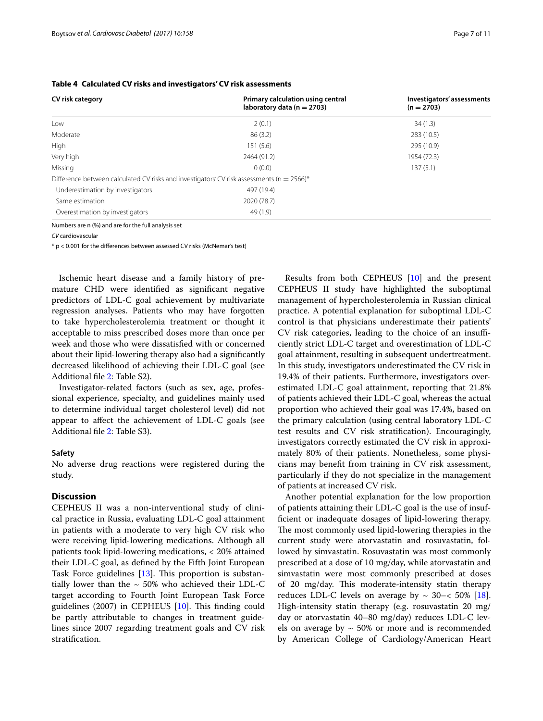| CV risk category                                                                              | Primary calculation using central<br>laboratory data ( $n = 2703$ ) | Investigators' assessments<br>$(n = 2703)$ |
|-----------------------------------------------------------------------------------------------|---------------------------------------------------------------------|--------------------------------------------|
| Low                                                                                           | 2(0.1)                                                              | 34(1.3)                                    |
| Moderate                                                                                      | 86(3.2)                                                             | 283 (10.5)                                 |
| High                                                                                          | 151(5.6)                                                            | 295 (10.9)                                 |
| Very high                                                                                     | 2464 (91.2)                                                         | 1954 (72.3)                                |
| Missing                                                                                       | 0(0.0)                                                              | 137(5.1)                                   |
| Difference between calculated CV risks and investigators' CV risk assessments ( $n = 2566$ )* |                                                                     |                                            |
| Underestimation by investigators                                                              | 497 (19.4)                                                          |                                            |
| Same estimation                                                                               | 2020 (78.7)                                                         |                                            |
| Overestimation by investigators                                                               | 49 (1.9)                                                            |                                            |

<span id="page-6-0"></span>

Numbers are n (%) and are for the full analysis set

*CV* cardiovascular

\* p < 0.001 for the diferences between assessed CV risks (McNemar's test)

Ischemic heart disease and a family history of premature CHD were identifed as signifcant negative predictors of LDL-C goal achievement by multivariate regression analyses. Patients who may have forgotten to take hypercholesterolemia treatment or thought it acceptable to miss prescribed doses more than once per week and those who were dissatisfed with or concerned about their lipid-lowering therapy also had a signifcantly decreased likelihood of achieving their LDL-C goal (see Additional fle [2](#page-8-1): Table S2).

Investigator-related factors (such as sex, age, professional experience, specialty, and guidelines mainly used to determine individual target cholesterol level) did not appear to afect the achievement of LDL-C goals (see Additional fle [2](#page-8-1): Table S3).

#### **Safety**

No adverse drug reactions were registered during the study.

# **Discussion**

CEPHEUS II was a non-interventional study of clinical practice in Russia, evaluating LDL-C goal attainment in patients with a moderate to very high CV risk who were receiving lipid-lowering medications. Although all patients took lipid-lowering medications, < 20% attained their LDL-C goal, as defned by the Fifth Joint European Task Force guidelines  $[13]$  $[13]$ . This proportion is substantially lower than the  $\sim 50\%$  who achieved their LDL-C target according to Fourth Joint European Task Force guidelines (2007) in CEPHEUS [[10](#page-9-8)]. This finding could be partly attributable to changes in treatment guidelines since 2007 regarding treatment goals and CV risk stratifcation.

Results from both CEPHEUS [\[10](#page-9-8)] and the present CEPHEUS II study have highlighted the suboptimal management of hypercholesterolemia in Russian clinical practice. A potential explanation for suboptimal LDL-C control is that physicians underestimate their patients' CV risk categories, leading to the choice of an insufficiently strict LDL-C target and overestimation of LDL-C goal attainment, resulting in subsequent undertreatment. In this study, investigators underestimated the CV risk in 19.4% of their patients. Furthermore, investigators overestimated LDL-C goal attainment, reporting that 21.8% of patients achieved their LDL-C goal, whereas the actual proportion who achieved their goal was 17.4%, based on the primary calculation (using central laboratory LDL-C test results and CV risk stratifcation). Encouragingly, investigators correctly estimated the CV risk in approximately 80% of their patients. Nonetheless, some physicians may beneft from training in CV risk assessment, particularly if they do not specialize in the management of patients at increased CV risk.

Another potential explanation for the low proportion of patients attaining their LDL-C goal is the use of insuffcient or inadequate dosages of lipid-lowering therapy. The most commonly used lipid-lowering therapies in the current study were atorvastatin and rosuvastatin, followed by simvastatin. Rosuvastatin was most commonly prescribed at a dose of 10 mg/day, while atorvastatin and simvastatin were most commonly prescribed at doses of 20 mg/day. This moderate-intensity statin therapy reduces LDL-C levels on average by  $\sim$  30– $<$  50% [\[18](#page-10-6)]. High-intensity statin therapy (e.g. rosuvastatin 20 mg/ day or atorvastatin 40–80 mg/day) reduces LDL-C levels on average by  $\sim$  50% or more and is recommended by American College of Cardiology/American Heart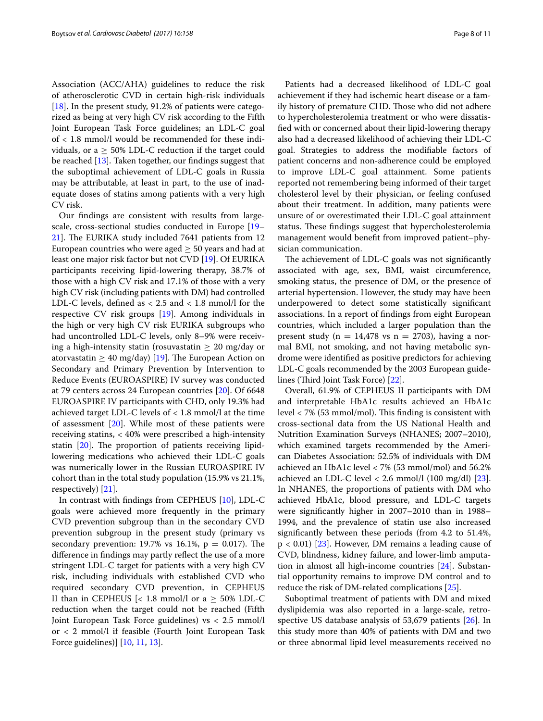Association (ACC/AHA) guidelines to reduce the risk of atherosclerotic CVD in certain high-risk individuals [ $18$ ]. In the present study, 91.2% of patients were categorized as being at very high CV risk according to the Fifth Joint European Task Force guidelines; an LDL-C goal of < 1.8 mmol/l would be recommended for these individuals, or a  $\geq$  50% LDL-C reduction if the target could be reached [[13\]](#page-10-1). Taken together, our fndings suggest that the suboptimal achievement of LDL-C goals in Russia may be attributable, at least in part, to the use of inadequate doses of statins among patients with a very high CV risk.

Our fndings are consistent with results from largescale, cross-sectional studies conducted in Europe [[19–](#page-10-7) [21\]](#page-10-8). The EURIKA study included 7641 patients from 12 European countries who were aged  $\geq$  50 years and had at least one major risk factor but not CVD [[19\]](#page-10-7). Of EURIKA participants receiving lipid-lowering therapy, 38.7% of those with a high CV risk and 17.1% of those with a very high CV risk (including patients with DM) had controlled LDL-C levels, defned as < 2.5 and < 1.8 mmol/l for the respective CV risk groups [[19](#page-10-7)]. Among individuals in the high or very high CV risk EURIKA subgroups who had uncontrolled LDL-C levels, only 8–9% were receiving a high-intensity statin (rosuvastatin  $\geq 20$  mg/day or atorvastatin  $\geq 40$  mg/day) [[19\]](#page-10-7). The European Action on Secondary and Primary Prevention by Intervention to Reduce Events (EUROASPIRE) IV survey was conducted at 79 centers across 24 European countries [\[20](#page-10-9)]. Of 6648 EUROASPIRE IV participants with CHD, only 19.3% had achieved target LDL-C levels of < 1.8 mmol/l at the time of assessment [\[20](#page-10-9)]. While most of these patients were receiving statins, < 40% were prescribed a high-intensity statin  $[20]$  $[20]$ . The proportion of patients receiving lipidlowering medications who achieved their LDL-C goals was numerically lower in the Russian EUROASPIRE IV cohort than in the total study population (15.9% vs 21.1%, respectively) [[21\]](#page-10-8).

In contrast with fndings from CEPHEUS [[10](#page-9-8)], LDL-C goals were achieved more frequently in the primary CVD prevention subgroup than in the secondary CVD prevention subgroup in the present study (primary vs secondary prevention: 19.7% vs 16.1%,  $p = 0.017$ ). The diference in fndings may partly refect the use of a more stringent LDL-C target for patients with a very high CV risk, including individuals with established CVD who required secondary CVD prevention, in CEPHEUS II than in CEPHEUS [< 1.8 mmol/l or a  $\geq$  50% LDL-C reduction when the target could not be reached (Fifth Joint European Task Force guidelines) vs < 2.5 mmol/l or < 2 mmol/l if feasible (Fourth Joint European Task Force guidelines)] [[10,](#page-9-8) [11](#page-9-9), [13](#page-10-1)].

Patients had a decreased likelihood of LDL-C goal achievement if they had ischemic heart disease or a family history of premature CHD. Those who did not adhere to hypercholesterolemia treatment or who were dissatisfed with or concerned about their lipid-lowering therapy also had a decreased likelihood of achieving their LDL-C goal. Strategies to address the modifable factors of patient concerns and non-adherence could be employed to improve LDL-C goal attainment. Some patients reported not remembering being informed of their target cholesterol level by their physician, or feeling confused about their treatment. In addition, many patients were unsure of or overestimated their LDL-C goal attainment status. These findings suggest that hypercholesterolemia management would beneft from improved patient–physician communication.

The achievement of LDL-C goals was not significantly associated with age, sex, BMI, waist circumference, smoking status, the presence of DM, or the presence of arterial hypertension. However, the study may have been underpowered to detect some statistically signifcant associations. In a report of fndings from eight European countries, which included a larger population than the present study ( $n = 14,478$  vs  $n = 2703$ ), having a normal BMI, not smoking, and not having metabolic syndrome were identifed as positive predictors for achieving LDL-C goals recommended by the 2003 European guide-lines (Third Joint Task Force) [\[22](#page-10-10)].

Overall, 61.9% of CEPHEUS II participants with DM and interpretable HbA1c results achieved an HbA1c level  $<$  7% (53 mmol/mol). This finding is consistent with cross-sectional data from the US National Health and Nutrition Examination Surveys (NHANES; 2007–2010), which examined targets recommended by the American Diabetes Association: 52.5% of individuals with DM achieved an HbA1c level < 7% (53 mmol/mol) and 56.2% achieved an LDL-C level  $< 2.6$  mmol/l (100 mg/dl) [\[23](#page-10-11)]. In NHANES, the proportions of patients with DM who achieved HbA1c, blood pressure, and LDL-C targets were signifcantly higher in 2007–2010 than in 1988– 1994, and the prevalence of statin use also increased signifcantly between these periods (from 4.2 to 51.4%,  $p < 0.01$ ) [\[23](#page-10-11)]. However, DM remains a leading cause of CVD, blindness, kidney failure, and lower-limb amputation in almost all high-income countries [\[24](#page-10-12)]. Substantial opportunity remains to improve DM control and to reduce the risk of DM-related complications [[25\]](#page-10-13).

Suboptimal treatment of patients with DM and mixed dyslipidemia was also reported in a large-scale, retrospective US database analysis of 53,679 patients [\[26](#page-10-14)]. In this study more than 40% of patients with DM and two or three abnormal lipid level measurements received no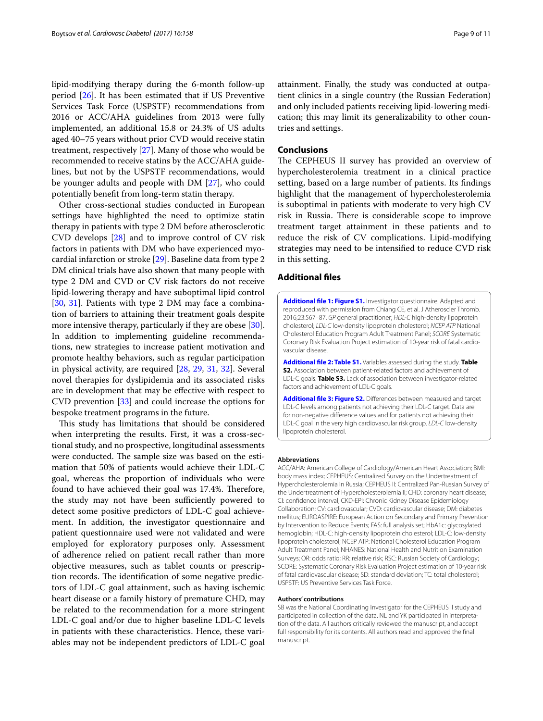lipid-modifying therapy during the 6-month follow-up period [\[26](#page-10-14)]. It has been estimated that if US Preventive Services Task Force (USPSTF) recommendations from 2016 or ACC/AHA guidelines from 2013 were fully implemented, an additional 15.8 or 24.3% of US adults aged 40–75 years without prior CVD would receive statin treatment, respectively [[27](#page-10-15)]. Many of those who would be recommended to receive statins by the ACC/AHA guidelines, but not by the USPSTF recommendations, would be younger adults and people with DM [\[27](#page-10-15)], who could potentially beneft from long-term statin therapy.

Other cross-sectional studies conducted in European settings have highlighted the need to optimize statin therapy in patients with type 2 DM before atherosclerotic CVD develops [[28\]](#page-10-16) and to improve control of CV risk factors in patients with DM who have experienced myocardial infarction or stroke [\[29](#page-10-17)]. Baseline data from type 2 DM clinical trials have also shown that many people with type 2 DM and CVD or CV risk factors do not receive lipid-lowering therapy and have suboptimal lipid control [[30,](#page-10-18) [31](#page-10-19)]. Patients with type 2 DM may face a combination of barriers to attaining their treatment goals despite more intensive therapy, particularly if they are obese [\[30](#page-10-18)]. In addition to implementing guideline recommendations, new strategies to increase patient motivation and promote healthy behaviors, such as regular participation in physical activity, are required [\[28](#page-10-16), [29,](#page-10-17) [31,](#page-10-19) [32](#page-10-20)]. Several novel therapies for dyslipidemia and its associated risks are in development that may be efective with respect to CVD prevention [[33\]](#page-10-21) and could increase the options for bespoke treatment programs in the future.

This study has limitations that should be considered when interpreting the results. First, it was a cross-sectional study, and no prospective, longitudinal assessments were conducted. The sample size was based on the estimation that 50% of patients would achieve their LDL-C goal, whereas the proportion of individuals who were found to have achieved their goal was 17.4%. Therefore, the study may not have been sufficiently powered to detect some positive predictors of LDL-C goal achievement. In addition, the investigator questionnaire and patient questionnaire used were not validated and were employed for exploratory purposes only. Assessment of adherence relied on patient recall rather than more objective measures, such as tablet counts or prescription records. The identification of some negative predictors of LDL-C goal attainment, such as having ischemic heart disease or a family history of premature CHD, may be related to the recommendation for a more stringent LDL-C goal and/or due to higher baseline LDL-C levels in patients with these characteristics. Hence, these variables may not be independent predictors of LDL-C goal attainment. Finally, the study was conducted at outpatient clinics in a single country (the Russian Federation) and only included patients receiving lipid-lowering medication; this may limit its generalizability to other countries and settings.

# **Conclusions**

The CEPHEUS II survey has provided an overview of hypercholesterolemia treatment in a clinical practice setting, based on a large number of patients. Its fndings highlight that the management of hypercholesterolemia is suboptimal in patients with moderate to very high CV risk in Russia. There is considerable scope to improve treatment target attainment in these patients and to reduce the risk of CV complications. Lipid-modifying strategies may need to be intensifed to reduce CVD risk in this setting.

## **Additional fles**

<span id="page-8-0"></span>**[Additional fle 1: Figure S1.](https://doi.org/10.1186/s12933-017-0641-4)** Investigator questionnaire. Adapted and reproduced with permission from Chiang CE, et al. J Atheroscler Thromb. 2016;23:567–87. *GP* general practitioner; *HDL-C* high-density lipoprotein cholesterol; *LDL-C* low-density lipoprotein cholesterol; *NCEP ATP* National Cholesterol Education Program Adult Treatment Panel; *SCORE* Systematic Coronary Risk Evaluation Project estimation of 10-year risk of fatal cardiovascular disease.

<span id="page-8-1"></span>**[Additional fle 2: Table S1.](https://doi.org/10.1186/s12933-017-0641-4)** Variables assessed during the study. **Table S2.** Association between patient-related factors and achievement of LDL-C goals. **Table S3.** Lack of association between investigator-related factors and achievement of LDL-C goals.

<span id="page-8-2"></span>Additional file 3: Figure S2. Differences between measured and target LDL-C levels among patients not achieving their LDL-C target. Data are for non-negative diference values and for patients not achieving their LDL-C goal in the very high cardiovascular risk group. *LDL-C* low-density lipoprotein cholesterol.

#### **Abbreviations**

ACC/AHA: American College of Cardiology/American Heart Association; BMI: body mass index; CEPHEUS: Centralized Survey on the Undertreatment of Hypercholesterolemia in Russia; CEPHEUS II: Centralized Pan-Russian Survey of the Undertreatment of Hypercholesterolemia II; CHD: coronary heart disease; CI: confdence interval; CKD-EPI: Chronic Kidney Disease Epidemiology Collaboration; CV: cardiovascular; CVD: cardiovascular disease; DM: diabetes mellitus; EUROASPIRE: European Action on Secondary and Primary Prevention by Intervention to Reduce Events; FAS: full analysis set; HbA1c: glycosylated hemoglobin; HDL-C: high-density lipoprotein cholesterol; LDL-C: low-density lipoprotein cholesterol; NCEP ATP: National Cholesterol Education Program Adult Treatment Panel; NHANES: National Health and Nutrition Examination Surveys; OR: odds ratio; RR: relative risk; RSC: Russian Society of Cardiology; SCORE: Systematic Coronary Risk Evaluation Project estimation of 10-year risk of fatal cardiovascular disease; SD: standard deviation; TC: total cholesterol; USPSTF: US Preventive Services Task Force.

#### **Authors' contributions**

SB was the National Coordinating Investigator for the CEPHEUS II study and participated in collection of the data. NL and YK participated in interpretation of the data. All authors critically reviewed the manuscript, and accept full responsibility for its contents. All authors read and approved the fnal manuscript.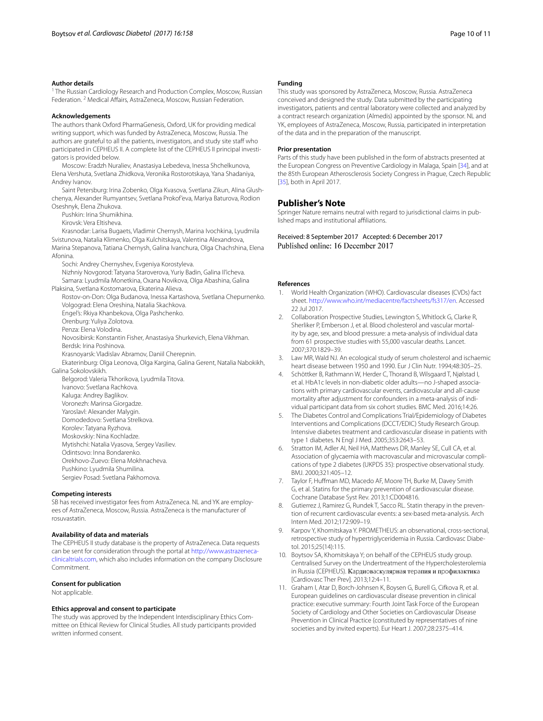#### **Author details**

<sup>1</sup> The Russian Cardiology Research and Production Complex, Moscow, Russian Federation.<sup>2</sup> Medical Affairs, AstraZeneca, Moscow, Russian Federation.

#### **Acknowledgements**

The authors thank Oxford PharmaGenesis, Oxford, UK for providing medical writing support, which was funded by AstraZeneca, Moscow, Russia. The authors are grateful to all the patients, investigators, and study site staff who participated in CEPHEUS II. A complete list of the CEPHEUS II principal investigators is provided below.

Moscow: Eradzh Nuraliev, Anastasiya Lebedeva, Inessa Shchelkunova, Elena Vershuta, Svetlana Zhidkova, Veronika Rostorotskaya, Yana Shadaniya, Andrey Ivanov.

Saint Petersburg: Irina Zobenko, Olga Kvasova, Svetlana Zikun, Alina Glushchenya, Alexander Rumyantsev, Svetlana Prokof'eva, Mariya Baturova, Rodion Oseshnyk, Elena Zhukova.

Pushkin: Irina Shumikhina.

Kirovsk: Vera Eltisheva.

Krasnodar: Larisa Bugaets, Vladimir Chernysh, Marina Ivochkina, Lyudmila Svistunova, Natalia Klimenko, Olga Kulchitskaya, Valentina Alexandrova, Marina Stepanova, Tatiana Chernysh, Galina Ivanchura, Olga Chachshina, Elena Afonina.

Sochi: Andrey Chernyshev, Evgeniya Korostyleva.

Nizhniy Novgorod: Tatyana Staroverova, Yuriy Badin, Galina Il'icheva. Samara: Lyudmila Monetkina, Oxana Novikova, Olga Abashina, Galina Plaksina, Svetlana Kostomarova, Ekaterina Alieva.

Rostov-on-Don: Olga Budanova, Inessa Kartashova, Svetlana Chepurnenko. Volgograd: Elena Oreshina, Natalia Skachkova.

Engel's: Rkiya Khanbekova, Olga Pashchenko.

Orenburg: Yuliya Zolotova.

Penza: Elena Volodina.

Novosibirsk: Konstantin Fisher, Anastasiya Shurkevich, Elena Vikhman. Berdsk: Irina Poshinova.

Krasnoyarsk: Vladislav Abramov, Daniil Cherepnin.

Ekaterinburg: Olga Leonova, Olga Kargina, Galina Gerent, Natalia Nabokikh, Galina Sokolovskikh.

Belgorod: Valeria Tkhorikova, Lyudmila Titova.

Ivanovo: Svetlana Rachkova.

Kaluga: Andrey Baglikov.

Voronezh: Marinsa Giorgadze.

Yaroslavl: Alexander Malygin.

Domodedovo: Svetlana Strelkova.

Korolev: Tatyana Ryzhova.

Moskovskiy: Nina Kochladze. Mytishchi: Natalia Vyasova, Sergey Vasiliev.

Odintsovo: Inna Bondarenko.

Orekhovo-Zuevo: Elena Mokhnacheva.

Pushkino: Lyudmila Shumilina.

Sergiev Posad: Svetlana Pakhomova.

#### **Competing interests**

SB has received investigator fees from AstraZeneca. NL and YK are employees of AstraZeneca, Moscow, Russia. AstraZeneca is the manufacturer of rosuvastatin.

# **Availability of data and materials**

The CEPHEUS II study database is the property of AstraZeneca. Data requests can be sent for consideration through the portal at [http://www.astrazeneca](http://www.astrazenecaclinicaltrials.com)[clinicaltrials.com,](http://www.astrazenecaclinicaltrials.com) which also includes information on the company Disclosure Commitment.

#### **Consent for publication**

Not applicable.

#### **Ethics approval and consent to participate**

The study was approved by the Independent Interdisciplinary Ethics Committee on Ethical Review for Clinical Studies. All study participants provided written informed consent.

#### **Funding**

This study was sponsored by AstraZeneca, Moscow, Russia. AstraZeneca conceived and designed the study. Data submitted by the participating investigators, patients and central laboratory were collected and analyzed by a contract research organization (Almedis) appointed by the sponsor. NL and YK, employees of AstraZeneca, Moscow, Russia, participated in interpretation of the data and in the preparation of the manuscript.

#### **Prior presentation**

Parts of this study have been published in the form of abstracts presented at the European Congress on Preventive Cardiology in Malaga, Spain [[34](#page-10-22)], and at the 85th European Atherosclerosis Society Congress in Prague, Czech Republic [[35](#page-10-23)], both in April 2017.

# **Publisher's Note**

Springer Nature remains neutral with regard to jurisdictional claims in published maps and institutional afliations.

# Received: 8 September 2017 Accepted: 6 December 2017 Published online: 16 December 2017

#### **References**

- <span id="page-9-0"></span>1. World Health Organization (WHO). Cardiovascular diseases (CVDs) fact sheet.<http://www.who.int/mediacentre/factsheets/fs317/en>. Accessed 22 Jul 2017.
- <span id="page-9-1"></span>2. Collaboration Prospective Studies, Lewington S, Whitlock G, Clarke R, Sherliker P, Emberson J, et al. Blood cholesterol and vascular mortality by age, sex, and blood pressure: a meta-analysis of individual data from 61 prospective studies with 55,000 vascular deaths. Lancet. 2007;370:1829–39.
- <span id="page-9-2"></span>3. Law MR, Wald NJ. An ecological study of serum cholesterol and ischaemic heart disease between 1950 and 1990. Eur J Clin Nutr. 1994;48:305–25.
- <span id="page-9-3"></span>4. Schöttker B, Rathmann W, Herder C, Thorand B, Wilsgaard T, Njølstad I, et al. HbA1c levels in non-diabetic older adults—no J-shaped associations with primary cardiovascular events, cardiovascular and all-cause mortality after adjustment for confounders in a meta-analysis of individual participant data from six cohort studies. BMC Med. 2016;14:26.
- 5. The Diabetes Control and Complications Trial/Epidemiology of Diabetes Interventions and Complications (DCCT/EDIC) Study Research Group. Intensive diabetes treatment and cardiovascular disease in patients with type 1 diabetes. N Engl J Med. 2005;353:2643–53.
- <span id="page-9-4"></span>6. Stratton IM, Adler AI, Neil HA, Matthews DR, Manley SE, Cull CA, et al. Association of glycaemia with macrovascular and microvascular complications of type 2 diabetes (UKPDS 35): prospective observational study. BMJ. 2000;321:405–12.
- <span id="page-9-5"></span>7. Taylor F, Hufman MD, Macedo AF, Moore TH, Burke M, Davey Smith G, et al. Statins for the primary prevention of cardiovascular disease. Cochrane Database Syst Rev. 2013;1:CD004816.
- <span id="page-9-6"></span>8. Gutierrez J, Ramirez G, Rundek T, Sacco RL. Statin therapy in the prevention of recurrent cardiovascular events: a sex-based meta-analysis. Arch Intern Med. 2012;172:909–19.
- <span id="page-9-7"></span>9. Karpov Y, Khomitskaya Y. PROMETHEUS: an observational, cross-sectional, retrospective study of hypertriglyceridemia in Russia. Cardiovasc Diabetol. 2015;25(14):115.
- <span id="page-9-8"></span>10. Boytsov SA, Khomitskaya Y; on behalf of the CEPHEUS study group. Centralised Survey on the Undertreatment of the Hypercholesterolemia in Russia (CEPHEUS). Кapдиoвacкyляpнaя тepaпия и пpoфилaктикa [Cardiovasc Ther Prev]. 2013;12:4–11.
- <span id="page-9-9"></span>11. Graham I, Atar D, Borch-Johnsen K, Boysen G, Burell G, Cifkova R, et al. European guidelines on cardiovascular disease prevention in clinical practice: executive summary: Fourth Joint Task Force of the European Society of Cardiology and Other Societies on Cardiovascular Disease Prevention in Clinical Practice (constituted by representatives of nine societies and by invited experts). Eur Heart J. 2007;28:2375–414.